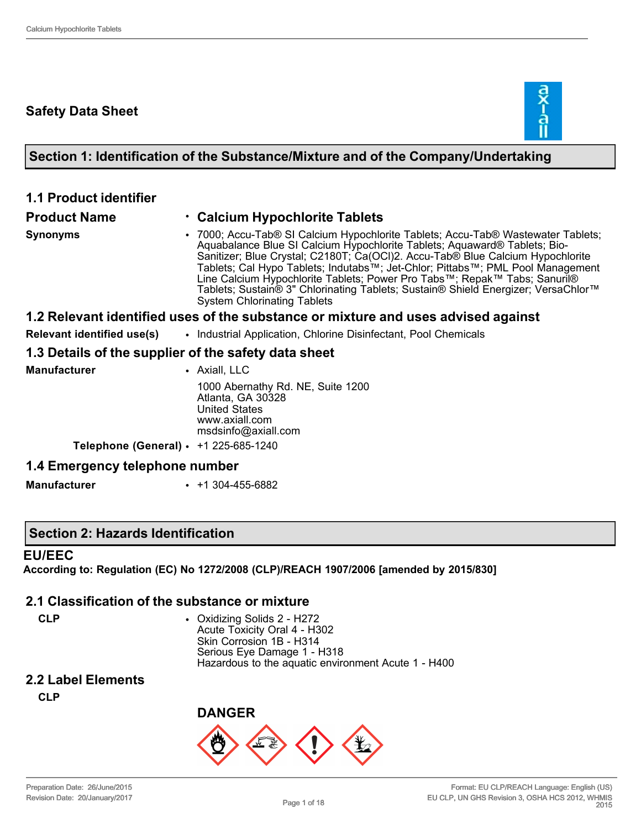### **Safety Data Sheet**



### **Section 1: Identification of the Substance/Mixture and of the Company/Undertaking**

| <b>1.1 Product identifier</b>                        |                                                                                                                                                                                                                                                                                                                                                                                                                                                                                                                                           |
|------------------------------------------------------|-------------------------------------------------------------------------------------------------------------------------------------------------------------------------------------------------------------------------------------------------------------------------------------------------------------------------------------------------------------------------------------------------------------------------------------------------------------------------------------------------------------------------------------------|
| <b>Product Name</b>                                  | ⋅ Calcium Hypochlorite Tablets                                                                                                                                                                                                                                                                                                                                                                                                                                                                                                            |
| <b>Synonyms</b>                                      | • 7000; Accu-Tab® SI Calcium Hypochlorite Tablets; Accu-Tab® Wastewater Tablets;<br>Aquabalance Blue SI Calcium Hypochlorite Tablets; Aquaward® Tablets; Bio-<br>Sanitizer; Blue Crystal; C2180T; Ca(OCl)2. Accu-Tab® Blue Calcium Hypochlorite<br>Tablets; Cal Hypo Tablets; Indutabs™; Jet-Chlor; Pittabs™; PML Pool Management<br>Line Calcium Hypochlorite Tablets; Power Pro Tabs™; Repak™ Tabs; Sanuril®<br>Tablets; Sustain® 3" Chlorinating Tablets; Sustain® Shield Energizer; VersaChlor™<br><b>System Chlorinating Tablets</b> |
|                                                      | 1.2 Relevant identified uses of the substance or mixture and uses advised against                                                                                                                                                                                                                                                                                                                                                                                                                                                         |
| Relevant identified use(s)                           | • Industrial Application, Chlorine Disinfectant, Pool Chemicals                                                                                                                                                                                                                                                                                                                                                                                                                                                                           |
| 1.3 Details of the supplier of the safety data sheet |                                                                                                                                                                                                                                                                                                                                                                                                                                                                                                                                           |
| <b>Manufacturer</b>                                  | • Axiall, LLC                                                                                                                                                                                                                                                                                                                                                                                                                                                                                                                             |
|                                                      | 1000 Abernathy Rd. NE, Suite 1200<br>Atlanta, GA 30328<br><b>United States</b><br>www.axiall.com<br>msdsinfo@axiall.com                                                                                                                                                                                                                                                                                                                                                                                                                   |
| <b>Telephone (General)</b> • $+1$ 225-685-1240       |                                                                                                                                                                                                                                                                                                                                                                                                                                                                                                                                           |
| 1.4 Emergency telephone number                       |                                                                                                                                                                                                                                                                                                                                                                                                                                                                                                                                           |
| <b>Manufacturer</b>                                  | $\cdot$ +1 304-455-6882                                                                                                                                                                                                                                                                                                                                                                                                                                                                                                                   |

#### **Section 2: Hazards Identification**

#### **EU/EEC**

**According to: Regulation (EC) No 1272/2008 (CLP)/REACH 1907/2006 [amended by 2015/830]**

#### **2.1 Classification of the substance or mixture**

**CLP** • Oxidizing Solids 2 - H272 Acute Toxicity Oral 4 - H302 Skin Corrosion 1B - H314 Serious Eye Damage 1 - H318 Hazardous to the aquatic environment Acute 1 - H400

## **2.2 Label Elements**

**CLP**

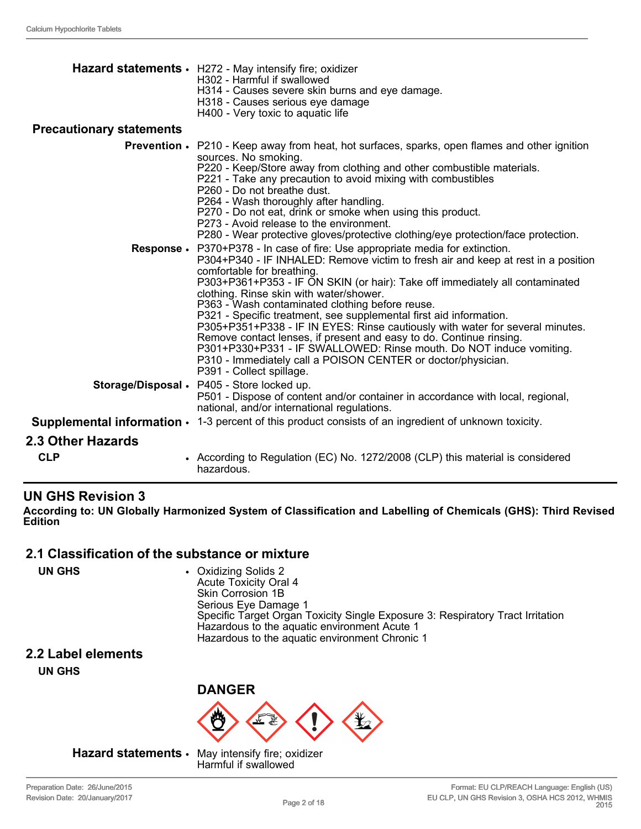|                                 | Hazard statements · H272 - May intensify fire; oxidizer<br>H302 - Harmful if swallowed<br>H314 - Causes severe skin burns and eye damage.<br>H318 - Causes serious eye damage<br>H400 - Very toxic to aquatic life                                                                                                                                                                                                                                                                                                                                                                                                                                                                                                                                                              |
|---------------------------------|---------------------------------------------------------------------------------------------------------------------------------------------------------------------------------------------------------------------------------------------------------------------------------------------------------------------------------------------------------------------------------------------------------------------------------------------------------------------------------------------------------------------------------------------------------------------------------------------------------------------------------------------------------------------------------------------------------------------------------------------------------------------------------|
| <b>Precautionary statements</b> |                                                                                                                                                                                                                                                                                                                                                                                                                                                                                                                                                                                                                                                                                                                                                                                 |
|                                 | <b>Prevention •</b> P210 - Keep away from heat, hot surfaces, sparks, open flames and other ignition<br>sources. No smoking.<br>P220 - Keep/Store away from clothing and other combustible materials.<br>P221 - Take any precaution to avoid mixing with combustibles<br>P260 - Do not breathe dust.<br>P264 - Wash thoroughly after handling.<br>P270 - Do not eat, drink or smoke when using this product.<br>P273 - Avoid release to the environment.<br>P280 - Wear protective gloves/protective clothing/eye protection/face protection.                                                                                                                                                                                                                                   |
|                                 | Response • P370+P378 - In case of fire: Use appropriate media for extinction.<br>P304+P340 - IF INHALED: Remove victim to fresh air and keep at rest in a position<br>comfortable for breathing.<br>P303+P361+P353 - IF ON SKIN (or hair): Take off immediately all contaminated<br>clothing. Rinse skin with water/shower.<br>P363 - Wash contaminated clothing before reuse.<br>P321 - Specific treatment, see supplemental first aid information.<br>P305+P351+P338 - IF IN EYES: Rinse cautiously with water for several minutes.<br>Remove contact lenses, if present and easy to do. Continue rinsing.<br>P301+P330+P331 - IF SWALLOWED: Rinse mouth. Do NOT induce vomiting.<br>P310 - Immediately call a POISON CENTER or doctor/physician.<br>P391 - Collect spillage. |
|                                 | Storage/Disposal . P405 - Store locked up.<br>P501 - Dispose of content and/or container in accordance with local, regional,<br>national, and/or international regulations.                                                                                                                                                                                                                                                                                                                                                                                                                                                                                                                                                                                                     |
|                                 | <b>Supplemental information <math>\cdot</math></b> 1-3 percent of this product consists of an ingredient of unknown toxicity.                                                                                                                                                                                                                                                                                                                                                                                                                                                                                                                                                                                                                                                   |
| 2.3 Other Hazards               |                                                                                                                                                                                                                                                                                                                                                                                                                                                                                                                                                                                                                                                                                                                                                                                 |
| <b>CLP</b>                      | • According to Regulation (EC) No. 1272/2008 (CLP) this material is considered<br>hazardous.                                                                                                                                                                                                                                                                                                                                                                                                                                                                                                                                                                                                                                                                                    |

#### **UN GHS Revision 3**

**According to: UN Globally Harmonized System of Classification and Labelling of Chemicals (GHS): Third Revised Edition**

#### **2.1 Classification of the substance or mixture**

| UN GHS | • Oxidizing Solids 2<br><b>Acute Toxicity Oral 4</b><br>Skin Corrosion 1B<br>Serious Eye Damage 1<br>Specific Target Organ Toxicity Single Exposure 3: Respiratory Tract Irritation<br>Hazardous to the aquatic environment Acute 1<br>Hazardous to the aquatic environment Chronic 1 |
|--------|---------------------------------------------------------------------------------------------------------------------------------------------------------------------------------------------------------------------------------------------------------------------------------------|
|--------|---------------------------------------------------------------------------------------------------------------------------------------------------------------------------------------------------------------------------------------------------------------------------------------|

#### **2.2 Label elements**

**UN GHS**



**Hazard statements** • May intensify fire; oxidizer

Harmful if swallowed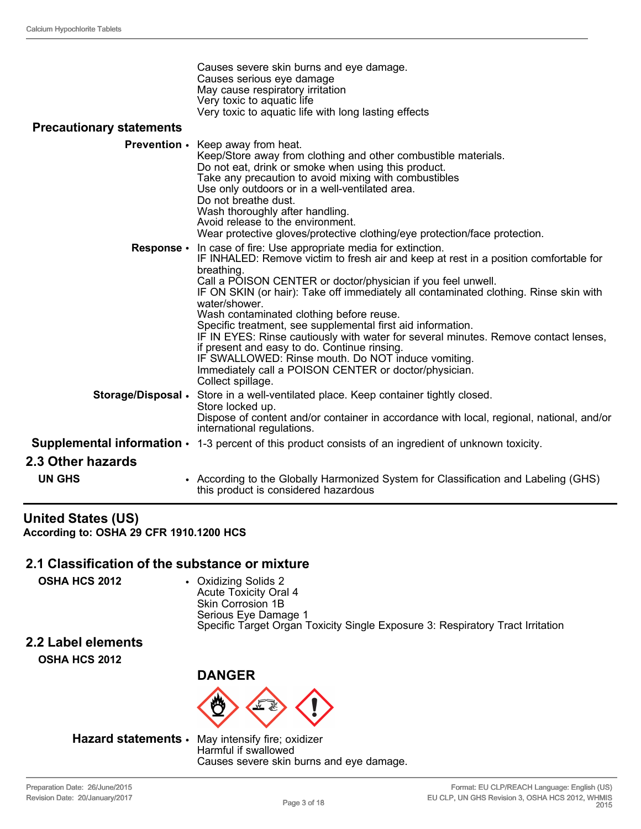| Causes severe skin burns and eye damage.             |
|------------------------------------------------------|
| Causes serious eye damage                            |
| May cause respiratory irritation                     |
| Very toxic to aquatic life                           |
| Very toxic to aquatic life with long lasting effects |

#### **Precautionary statements**

|                    | <b>Prevention</b> • Keep away from heat.<br>Keep/Store away from clothing and other combustible materials.<br>Do not eat, drink or smoke when using this product.<br>Take any precaution to avoid mixing with combustibles<br>Use only outdoors or in a well-ventilated area.<br>Do not breathe dust.<br>Wash thoroughly after handling.<br>Avoid release to the environment.<br>Wear protective gloves/protective clothing/eye protection/face protection.                                                                                                                                                                                                                                                                   |
|--------------------|-------------------------------------------------------------------------------------------------------------------------------------------------------------------------------------------------------------------------------------------------------------------------------------------------------------------------------------------------------------------------------------------------------------------------------------------------------------------------------------------------------------------------------------------------------------------------------------------------------------------------------------------------------------------------------------------------------------------------------|
| Response •         | In case of fire: Use appropriate media for extinction.<br>IF INHALED: Remove victim to fresh air and keep at rest in a position comfortable for<br>breathing.<br>Call a POISON CENTER or doctor/physician if you feel unwell.<br>IF ON SKIN (or hair): Take off immediately all contaminated clothing. Rinse skin with<br>water/shower.<br>Wash contaminated clothing before reuse.<br>Specific treatment, see supplemental first aid information.<br>IF IN EYES: Rinse cautiously with water for several minutes. Remove contact lenses,<br>if present and easy to do. Continue rinsing.<br>IF SWALLOWED: Rinse mouth. Do NOT induce vomiting.<br>Immediately call a POISON CENTER or doctor/physician.<br>Collect spillage. |
| Storage/Disposal . | Store in a well-ventilated place. Keep container tightly closed.<br>Store locked up.<br>Dispose of content and/or container in accordance with local, regional, national, and/or<br>international regulations.                                                                                                                                                                                                                                                                                                                                                                                                                                                                                                                |
|                    | <b>Supplemental information <math>\cdot</math></b> 1-3 percent of this product consists of an ingredient of unknown toxicity.                                                                                                                                                                                                                                                                                                                                                                                                                                                                                                                                                                                                 |
| 2.3 Other hazards  |                                                                                                                                                                                                                                                                                                                                                                                                                                                                                                                                                                                                                                                                                                                               |
| <b>UN GHS</b>      | • According to the Globally Harmonized System for Classification and Labeling (GHS)<br>this product is considered hazardous                                                                                                                                                                                                                                                                                                                                                                                                                                                                                                                                                                                                   |

#### **United States (US) According to: OSHA 29 CFR 1910.1200 HCS**

#### **2.1 Classification of the substance or mixture**

**OSHA HCS 2012** • Oxidizing Solids 2 Acute Toxicity Oral 4 Skin Corrosion 1B Serious Eye Damage 1 Specific Target Organ Toxicity Single Exposure 3: Respiratory Tract Irritation

# **2.2 Label elements**

**OSHA HCS 2012**



#### **Hazard statements** • May intensify fire; oxidizer

Harmful if swallowed Causes severe skin burns and eye damage.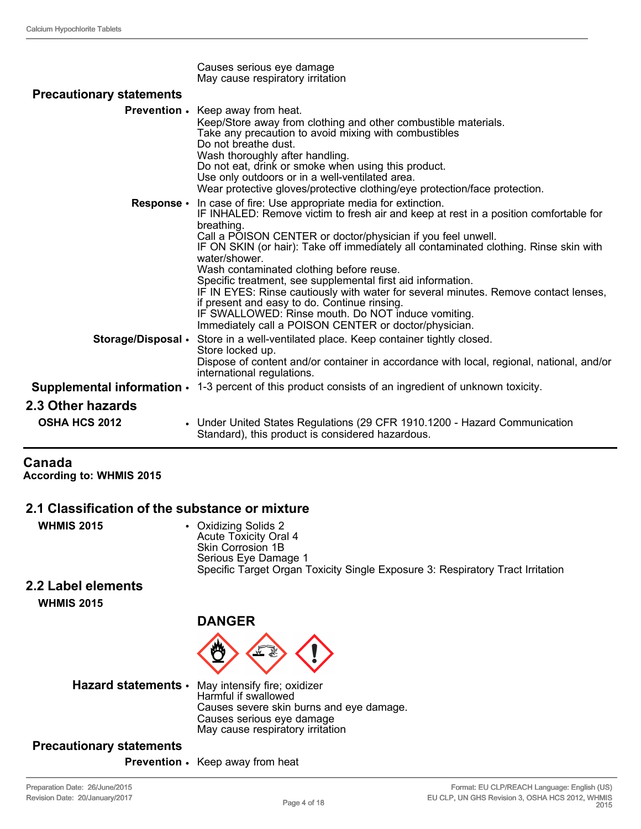|                                 | Causes serious eye damage<br>May cause respiratory irritation                                                                                                                                                                                                                                                                                                                                                                                                                                                                                                                                                                                                                                                              |
|---------------------------------|----------------------------------------------------------------------------------------------------------------------------------------------------------------------------------------------------------------------------------------------------------------------------------------------------------------------------------------------------------------------------------------------------------------------------------------------------------------------------------------------------------------------------------------------------------------------------------------------------------------------------------------------------------------------------------------------------------------------------|
| <b>Precautionary statements</b> |                                                                                                                                                                                                                                                                                                                                                                                                                                                                                                                                                                                                                                                                                                                            |
|                                 | <b>Prevention .</b> Keep away from heat.<br>Keep/Store away from clothing and other combustible materials.<br>Take any precaution to avoid mixing with combustibles<br>Do not breathe dust.<br>Wash thoroughly after handling.<br>Do not eat, drink or smoke when using this product.<br>Use only outdoors or in a well-ventilated area.<br>Wear protective gloves/protective clothing/eye protection/face protection.                                                                                                                                                                                                                                                                                                     |
|                                 | <b>Response</b> • In case of fire: Use appropriate media for extinction.<br>IF INHALED: Remove victim to fresh air and keep at rest in a position comfortable for<br>breathing.<br>Call a POISON CENTER or doctor/physician if you feel unwell.<br>IF ON SKIN (or hair): Take off immediately all contaminated clothing. Rinse skin with<br>water/shower.<br>Wash contaminated clothing before reuse.<br>Specific treatment, see supplemental first aid information.<br>IF IN EYES: Rinse cautiously with water for several minutes. Remove contact lenses,<br>if present and easy to do. Continue rinsing.<br>IF SWALLOWED: Rinse mouth. Do NOT induce vomiting.<br>Immediately call a POISON CENTER or doctor/physician. |
| Storage/Disposal •              | Store in a well-ventilated place. Keep container tightly closed.<br>Store locked up.<br>Dispose of content and/or container in accordance with local, regional, national, and/or<br>international regulations.                                                                                                                                                                                                                                                                                                                                                                                                                                                                                                             |
|                                 | <b>Supplemental information <math>\cdot</math></b> 1-3 percent of this product consists of an ingredient of unknown toxicity.                                                                                                                                                                                                                                                                                                                                                                                                                                                                                                                                                                                              |
| 2.3 Other hazards               |                                                                                                                                                                                                                                                                                                                                                                                                                                                                                                                                                                                                                                                                                                                            |
| <b>OSHA HCS 2012</b>            | • Under United States Regulations (29 CFR 1910.1200 - Hazard Communication<br>Standard), this product is considered hazardous.                                                                                                                                                                                                                                                                                                                                                                                                                                                                                                                                                                                             |

### **Canada**

**According to: WHMIS 2015**

#### **2.1 Classification of the substance or mixture**

| <b>WHMIS 2015</b> | • Oxidizing Solids 2<br>Acute Toxicity Oral 4<br>Skin Corrosion 1B             |
|-------------------|--------------------------------------------------------------------------------|
|                   | Serious Eye Damage 1                                                           |
|                   | Specific Target Organ Toxicity Single Exposure 3: Respiratory Tract Irritation |
|                   |                                                                                |

#### **2.2 Label elements**

**WHMIS 2015**





**Hazard statements** • May intensify fire; oxidizer

Harmful if swallowed Causes severe skin burns and eye damage. Causes serious eye damage May cause respiratory irritation

#### **Precautionary statements**

**Prevention** • Keep away from heat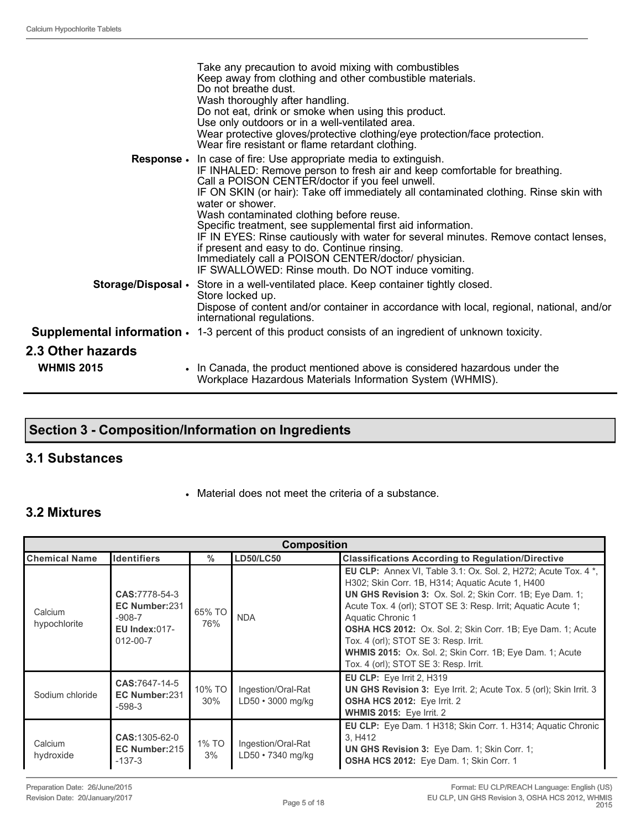|                                               | Take any precaution to avoid mixing with combustibles<br>Keep away from clothing and other combustible materials.<br>Do not breathe dust.<br>Wash thoroughly after handling.<br>Do not eat, drink or smoke when using this product.<br>Use only outdoors or in a well-ventilated area.<br>Wear protective gloves/protective clothing/eye protection/face protection.<br>Wear fire resistant or flame retardant clothing.                                                                                                                                                                                                                                                            |
|-----------------------------------------------|-------------------------------------------------------------------------------------------------------------------------------------------------------------------------------------------------------------------------------------------------------------------------------------------------------------------------------------------------------------------------------------------------------------------------------------------------------------------------------------------------------------------------------------------------------------------------------------------------------------------------------------------------------------------------------------|
|                                               | <b>Response.</b> In case of fire: Use appropriate media to extinguish.<br>IF INHALED: Remove person to fresh air and keep comfortable for breathing.<br>Call a POISON CENTER/doctor if you feel unwell.<br>IF ON SKIN (or hair): Take off immediately all contaminated clothing. Rinse skin with<br>water or shower.<br>Wash contaminated clothing before reuse.<br>Specific treatment, see supplemental first aid information.<br>IF IN EYES: Rinse cautiously with water for several minutes. Remove contact lenses,<br>if present and easy to do. Continue rinsing.<br>Immediately call a POISON CENTER/doctor/ physician.<br>IF SWALLOWED: Rinse mouth. Do NOT induce vomiting. |
|                                               | <b>Storage/Disposal •</b> Store in a well-ventilated place. Keep container tightly closed.<br>Store locked up.<br>Dispose of content and/or container in accordance with local, regional, national, and/or<br>international regulations.                                                                                                                                                                                                                                                                                                                                                                                                                                            |
|                                               | <b>Supplemental information <math>\cdot</math></b> 1-3 percent of this product consists of an ingredient of unknown toxicity.                                                                                                                                                                                                                                                                                                                                                                                                                                                                                                                                                       |
| <b>2.3 Other hazards</b><br><b>WHMIS 2015</b> | . In Canada, the product mentioned above is considered hazardous under the<br>Workplace Hazardous Materials Information System (WHMIS).                                                                                                                                                                                                                                                                                                                                                                                                                                                                                                                                             |

### **Section 3 - Composition/Information on Ingredients**

#### **3.1 Substances**

• Material does not meet the criteria of a substance.

#### **3.2 Mixtures**

| <b>Composition</b>      |                                                                                       |               |                                         |                                                                                                                                                                                                                                                                                                                                                                                                                                                                                                 |
|-------------------------|---------------------------------------------------------------------------------------|---------------|-----------------------------------------|-------------------------------------------------------------------------------------------------------------------------------------------------------------------------------------------------------------------------------------------------------------------------------------------------------------------------------------------------------------------------------------------------------------------------------------------------------------------------------------------------|
| <b>Chemical Name</b>    | <b>Identifiers</b>                                                                    | $\%$          | <b>LD50/LC50</b>                        | <b>Classifications According to Regulation/Directive</b>                                                                                                                                                                                                                                                                                                                                                                                                                                        |
| Calcium<br>hypochlorite | CAS: 7778-54-3<br>EC Number:231<br>$-908-7$<br><b>EU Index:017-</b><br>$012 - 00 - 7$ | 65% TO<br>76% | <b>NDA</b>                              | <b>EU CLP:</b> Annex VI, Table 3.1: Ox. Sol. 2, H272; Acute Tox. 4 *,<br>H302; Skin Corr. 1B, H314; Aguatic Acute 1, H400<br>UN GHS Revision 3: Ox. Sol. 2; Skin Corr. 1B; Eye Dam. 1;<br>Acute Tox. 4 (orl); STOT SE 3: Resp. Irrit; Aquatic Acute 1;<br>Aquatic Chronic 1<br><b>OSHA HCS 2012:</b> Ox. Sol. 2; Skin Corr. 1B; Eye Dam. 1; Acute<br>Tox. 4 (orl); STOT SE 3: Resp. Irrit.<br>WHMIS 2015: Ox. Sol. 2; Skin Corr. 1B; Eye Dam. 1; Acute<br>Tox. 4 (orl); STOT SE 3: Resp. Irrit. |
| Sodium chloride         | CAS:7647-14-5<br>EC Number:231<br>$-598-3$                                            | 10% TO<br>30% | Ingestion/Oral-Rat<br>LD50 · 3000 mg/kg | EU CLP: Eye Irrit 2, H319<br>UN GHS Revision 3: Eye Irrit. 2; Acute Tox. 5 (orl); Skin Irrit. 3<br><b>OSHA HCS 2012: Eye Irrit. 2</b><br><b>WHMIS 2015: Eye Irrit. 2</b>                                                                                                                                                                                                                                                                                                                        |
| Calcium<br>hydroxide    | <b>CAS:</b> 1305-62-0<br>EC Number:215<br>$-137-3$                                    | 1% TO<br>3%   | Ingestion/Oral-Rat<br>LD50 • 7340 mg/kg | <b>EU CLP:</b> Eye Dam. 1 H318; Skin Corr. 1. H314; Aquatic Chronic<br>3. H412<br><b>UN GHS Revision 3:</b> Eye Dam. 1; Skin Corr. 1;<br>OSHA HCS 2012: Eye Dam. 1; Skin Corr. 1                                                                                                                                                                                                                                                                                                                |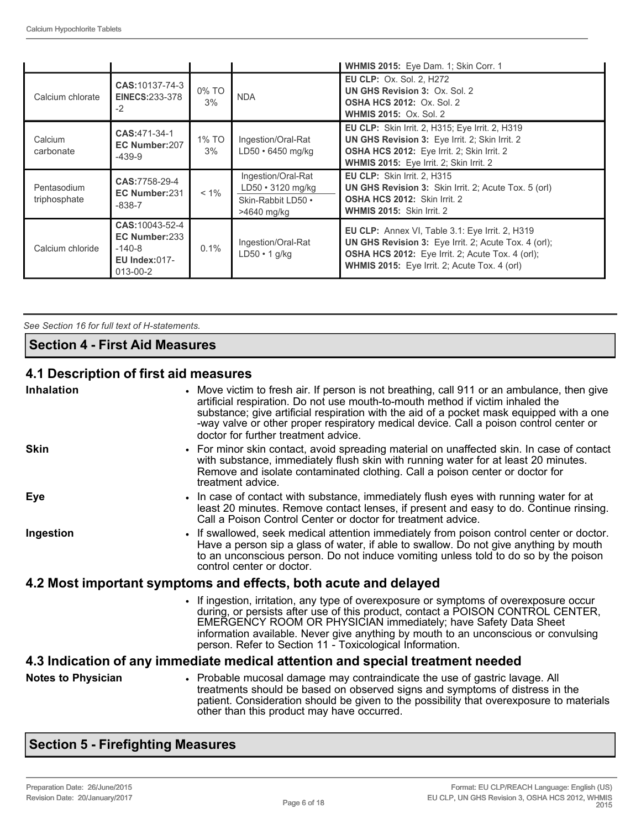|                             |                                                                                  |             |                                                                                    | WHMIS 2015: Eye Dam. 1; Skin Corr. 1                                                                                                                                                                               |
|-----------------------------|----------------------------------------------------------------------------------|-------------|------------------------------------------------------------------------------------|--------------------------------------------------------------------------------------------------------------------------------------------------------------------------------------------------------------------|
| Calcium chlorate            | <b>CAS:</b> 10137-74-3<br><b>EINECS:233-378</b><br>$-2$                          | 0% TO<br>3% | <b>NDA</b>                                                                         | <b>EU CLP: Ox. Sol. 2, H272</b><br><b>UN GHS Revision 3: Ox. Sol. 2</b><br><b>OSHA HCS 2012: Ox. Sol. 2</b><br><b>WHMIS 2015: Ox. Sol. 2</b>                                                                       |
| Calcium<br>carbonate        | CAS:471-34-1<br>EC Number:207<br>$-439-9$                                        | 1% TO<br>3% | Ingestion/Oral-Rat<br>$LD50 \cdot 6450$ mg/kg                                      | <b>EU CLP:</b> Skin Irrit. 2, H315; Eye Irrit. 2, H319<br>UN GHS Revision 3: Eye Irrit. 2; Skin Irrit. 2<br>OSHA HCS 2012: Eye Irrit. 2; Skin Irrit. 2<br>WHMIS 2015: Eye Irrit. 2; Skin Irrit. 2                  |
| Pentasodium<br>triphosphate | CAS:7758-29-4<br>EC Number:231<br>$-838-7$                                       | $< 1\%$     | Ingestion/Oral-Rat<br>$LD50 \cdot 3120$ mg/kg<br>Skin-Rabbit LD50 .<br>>4640 mg/kg | <b>EU CLP:</b> Skin Irrit. 2, H315<br><b>UN GHS Revision 3:</b> Skin Irrit. 2; Acute Tox. 5 (orl)<br>OSHA HCS 2012: Skin Irrit. 2<br>WHMIS 2015: Skin Irrit. 2                                                     |
| Calcium chloride            | CAS: 10043-52-4<br>EC Number:233<br>$-140-8$<br><b>EU Index:017-</b><br>013-00-2 | 0.1%        | Ingestion/Oral-Rat<br>$LD50 \cdot 1$ g/kg                                          | EU CLP: Annex VI, Table 3.1: Eye Irrit. 2, H319<br><b>UN GHS Revision 3:</b> Eye Irrit. 2; Acute Tox. 4 (orl);<br>OSHA HCS 2012: Eye Irrit. 2; Acute Tox. 4 (orl);<br>WHMIS 2015: Eye Irrit. 2; Acute Tox. 4 (orl) |

*See Section 16 for full text of H-statements.* 

#### **Section 4 - First Aid Measures**

#### **4.1 Description of first aid measures**

| <b>Inhalation</b>                                                              | • Move victim to fresh air. If person is not breathing, call 911 or an ambulance, then give<br>artificial respiration. Do not use mouth-to-mouth method if victim inhaled the<br>substance; give artificial respiration with the aid of a pocket mask equipped with a one<br>-way valve or other proper respiratory medical device. Call a poison control center or<br>doctor for further treatment advice. |  |
|--------------------------------------------------------------------------------|-------------------------------------------------------------------------------------------------------------------------------------------------------------------------------------------------------------------------------------------------------------------------------------------------------------------------------------------------------------------------------------------------------------|--|
| <b>Skin</b>                                                                    | • For minor skin contact, avoid spreading material on unaffected skin. In case of contact<br>with substance, immediately flush skin with running water for at least 20 minutes.<br>Remove and isolate contaminated clothing. Call a poison center or doctor for<br>treatment advice.                                                                                                                        |  |
| Eye                                                                            | • In case of contact with substance, immediately flush eyes with running water for at<br>least 20 minutes. Remove contact lenses, if present and easy to do. Continue rinsing.<br>Call a Poison Control Center or doctor for treatment advice.                                                                                                                                                              |  |
| Ingestion                                                                      | • If swallowed, seek medical attention immediately from poison control center or doctor.<br>Have a person sip a glass of water, if able to swallow. Do not give anything by mouth<br>to an unconscious person. Do not induce vomiting unless told to do so by the poison<br>control center or doctor.                                                                                                       |  |
| 4.2 Most important symptoms and effects, both acute and delayed                |                                                                                                                                                                                                                                                                                                                                                                                                             |  |
|                                                                                | • If ingestion, irritation, any type of overexposure or symptoms of overexposure occur<br>during, or persists after use of this product, contact a POISON CONTROL CENTER,<br>EMERGENCY ROOM OR PHYSICIAN immediately; have Safety Data Sheet<br>information available. Never give anything by mouth to an unconscious or convulsing<br>person. Refer to Section 11 - Toxicological Information.             |  |
| 4.3 Indication of any immediate medical attention and special treatment needed |                                                                                                                                                                                                                                                                                                                                                                                                             |  |
| <b>Notes to Physician</b>                                                      | • Probable mucosal damage may contraindicate the use of gastric lavage. All<br>treatments should be based on observed signs and symptoms of distress in the<br>patient. Consideration should be given to the possibility that overexposure to materials<br>other than this product may have occurred.                                                                                                       |  |

### **Section 5 - Firefighting Measures**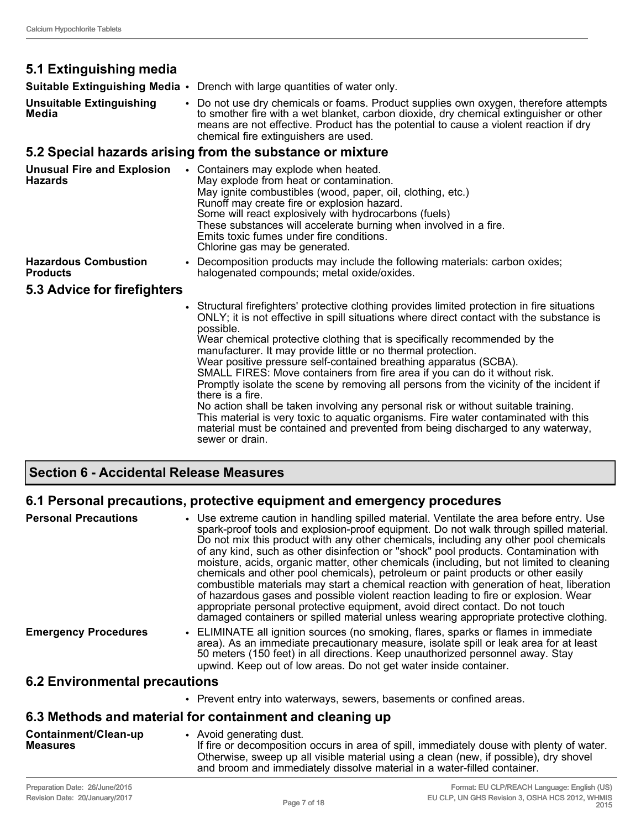### **5.1 Extinguishing media**

**Suitable Extinguishing Media** • Drench with large quantities of water only.

**Unsuitable Extinguishing Media** • Do not use dry chemicals or foams. Product supplies own oxygen, therefore attempts to smother fire with a wet blanket, carbon dioxide, dry chemical extinguisher or other means are not effective. Product has the potential to cause a violent reaction if dry chemical fire extinguishers are used.

#### **5.2 Special hazards arising from the substance or mixture**

| <b>Unusual Fire and Explosion</b><br><b>Hazards</b> | Containers may explode when heated.<br>May explode from heat or contamination.<br>May ignite combustibles (wood, paper, oil, clothing, etc.)<br>Runoff may create fire or explosion hazard.<br>Some will react explosively with hydrocarbons (fuels)<br>These substances will accelerate burning when involved in a fire.<br>Emits toxic fumes under fire conditions.<br>Chlorine gas may be generated.                                                                                                                                                                                                                                                                                                                                                                                                                                                                                                   |  |
|-----------------------------------------------------|-----------------------------------------------------------------------------------------------------------------------------------------------------------------------------------------------------------------------------------------------------------------------------------------------------------------------------------------------------------------------------------------------------------------------------------------------------------------------------------------------------------------------------------------------------------------------------------------------------------------------------------------------------------------------------------------------------------------------------------------------------------------------------------------------------------------------------------------------------------------------------------------------------------|--|
| <b>Hazardous Combustion</b><br><b>Products</b>      | • Decomposition products may include the following materials: carbon oxides;<br>halogenated compounds; metal oxide/oxides.                                                                                                                                                                                                                                                                                                                                                                                                                                                                                                                                                                                                                                                                                                                                                                                |  |
| 5.3 Advice for firefighters                         |                                                                                                                                                                                                                                                                                                                                                                                                                                                                                                                                                                                                                                                                                                                                                                                                                                                                                                           |  |
|                                                     | • Structural firefighters' protective clothing provides limited protection in fire situations<br>ONLY; it is not effective in spill situations where direct contact with the substance is<br>possible.<br>Wear chemical protective clothing that is specifically recommended by the<br>manufacturer. It may provide little or no thermal protection.<br>Wear positive pressure self-contained breathing apparatus (SCBA).<br>SMALL FIRES: Move containers from fire area if you can do it without risk.<br>Promptly isolate the scene by removing all persons from the vicinity of the incident if<br>there is a fire.<br>No action shall be taken involving any personal risk or without suitable training.<br>This material is very toxic to aquatic organisms. Fire water contaminated with this<br>material must be contained and prevented from being discharged to any waterway,<br>sewer or drain. |  |

#### **Section 6 - Accidental Release Measures**

#### **6.1 Personal precautions, protective equipment and emergency procedures**

| <b>Personal Precautions</b>          | • Use extreme caution in handling spilled material. Ventilate the area before entry. Use<br>spark-proof tools and explosion-proof equipment. Do not walk through spilled material.<br>Do not mix this product with any other chemicals, including any other pool chemicals<br>of any kind, such as other disinfection or "shock" pool products. Contamination with<br>moisture, acids, organic matter, other chemicals (including, but not limited to cleaning<br>chemicals and other pool chemicals), petroleum or paint products or other easily<br>combustible materials may start a chemical reaction with generation of heat, liberation<br>of hazardous gases and possible violent reaction leading to fire or explosion. Wear<br>appropriate personal protective equipment, avoid direct contact. Do not touch<br>damaged containers or spilled material unless wearing appropriate protective clothing. |
|--------------------------------------|-----------------------------------------------------------------------------------------------------------------------------------------------------------------------------------------------------------------------------------------------------------------------------------------------------------------------------------------------------------------------------------------------------------------------------------------------------------------------------------------------------------------------------------------------------------------------------------------------------------------------------------------------------------------------------------------------------------------------------------------------------------------------------------------------------------------------------------------------------------------------------------------------------------------|
| <b>Emergency Procedures</b>          | • ELIMINATE all ignition sources (no smoking, flares, sparks or flames in immediate<br>area). As an immediate precautionary measure, isolate spill or leak area for at least<br>50 meters (150 feet) in all directions. Keep unauthorized personnel away. Stay<br>upwind. Keep out of low areas. Do not get water inside container.                                                                                                                                                                                                                                                                                                                                                                                                                                                                                                                                                                             |
| <b>6.2 Environmental precautions</b> |                                                                                                                                                                                                                                                                                                                                                                                                                                                                                                                                                                                                                                                                                                                                                                                                                                                                                                                 |

• Prevent entry into waterways, sewers, basements or confined areas.

#### **6.3 Methods and material for containment and cleaning up**

**Containment/Clean-up Measures** • Avoid generating dust. If fire or decomposition occurs in area of spill, immediately douse with plenty of water. Otherwise, sweep up all visible material using a clean (new, if possible), dry shovel and broom and immediately dissolve material in a water-filled container.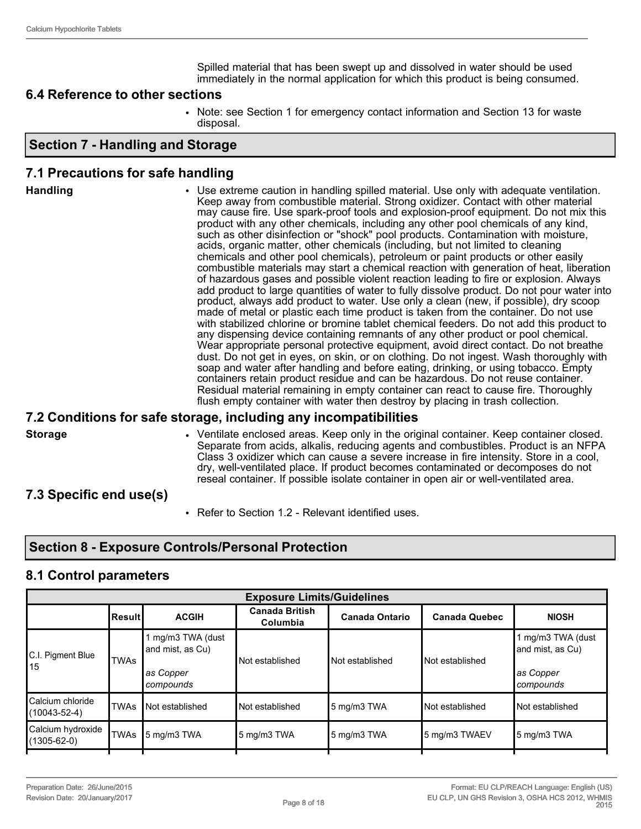Spilled material that has been swept up and dissolved in water should be used immediately in the normal application for which this product is being consumed.

#### **6.4 Reference to other sections**

• Note: see Section 1 for emergency contact information and Section 13 for waste disposal.

#### **Section 7 - Handling and Storage**

#### **7.1 Precautions for safe handling**

| Keep away from combustible material. Strong oxidizer. Contact with other material<br>product with any other chemicals, including any other pool chemicals of any kind,<br>such as other disinfection or "shock" pool products. Contamination with moisture,<br>acids, organic matter, other chemicals (including, but not limited to cleaning<br>chemicals and other pool chemicals), petroleum or paint products or other easily<br>of hazardous gases and possible violent reaction leading to fire or explosion. Always<br>product, always add product to water. Use only a clean (new, if possible), dry scoop<br>made of metal or plastic each time product is taken from the container. Do not use<br>any dispensing device containing remnants of any other product or pool chemical.<br>soap and water after handling and before eating, drinking, or using tobacco. Empty<br>containers retain product residue and can be hazardous. Do not reuse container.<br>Residual material remaining in empty container can react to cause fire. Thoroughly<br>flush empty container with water then destroy by placing in trash collection. | <b>Handling</b> | • Use extreme caution in handling spilled material. Use only with adequate ventilation.<br>may cause fire. Use spark-proof tools and explosion-proof equipment. Do not mix this<br>combustible materials may start a chemical reaction with generation of heat, liberation<br>add product to large quantities of water to fully dissolve product. Do not pour water into<br>with stabilized chlorine or bromine tablet chemical feeders. Do not add this product to<br>Wear appropriate personal protective equipment, avoid direct contact. Do not breathe<br>dust. Do not get in eyes, on skin, or on clothing. Do not ingest. Wash thoroughly with |
|----------------------------------------------------------------------------------------------------------------------------------------------------------------------------------------------------------------------------------------------------------------------------------------------------------------------------------------------------------------------------------------------------------------------------------------------------------------------------------------------------------------------------------------------------------------------------------------------------------------------------------------------------------------------------------------------------------------------------------------------------------------------------------------------------------------------------------------------------------------------------------------------------------------------------------------------------------------------------------------------------------------------------------------------------------------------------------------------------------------------------------------------|-----------------|-------------------------------------------------------------------------------------------------------------------------------------------------------------------------------------------------------------------------------------------------------------------------------------------------------------------------------------------------------------------------------------------------------------------------------------------------------------------------------------------------------------------------------------------------------------------------------------------------------------------------------------------------------|
|----------------------------------------------------------------------------------------------------------------------------------------------------------------------------------------------------------------------------------------------------------------------------------------------------------------------------------------------------------------------------------------------------------------------------------------------------------------------------------------------------------------------------------------------------------------------------------------------------------------------------------------------------------------------------------------------------------------------------------------------------------------------------------------------------------------------------------------------------------------------------------------------------------------------------------------------------------------------------------------------------------------------------------------------------------------------------------------------------------------------------------------------|-----------------|-------------------------------------------------------------------------------------------------------------------------------------------------------------------------------------------------------------------------------------------------------------------------------------------------------------------------------------------------------------------------------------------------------------------------------------------------------------------------------------------------------------------------------------------------------------------------------------------------------------------------------------------------------|

#### **7.2 Conditions for safe storage, including any incompatibilities**

**Storage • • • • Ventilate enclosed areas. Keep only in the original container. Keep container closed.** Separate from acids, alkalis, reducing agents and combustibles. Product is an NFPA Class 3 oxidizer which can cause a severe increase in fire intensity. Store in a cool, dry, well-ventilated place. If product becomes contaminated or decomposes do not reseal container. If possible isolate container in open air or well-ventilated area.

#### **7.3 Specific end use(s)**

• Refer to Section 1.2 - Relevant identified uses.

#### **Section 8 - Exposure Controls/Personal Protection**

#### **8.1 Control parameters**

| <b>Canada British</b><br><b>Canada Ontario</b><br>Columbia | <b>Canada Quebec</b>                              |                                                                 |
|------------------------------------------------------------|---------------------------------------------------|-----------------------------------------------------------------|
|                                                            |                                                   | <b>NIOSH</b>                                                    |
|                                                            | Not established                                   | 1 mg/m3 TWA (dust<br>and mist, as Cu)<br>as Copper<br>compounds |
| 5 mg/m3 TWA                                                | Not established                                   | Not established                                                 |
| 5 mg/m3 TWA                                                | 5 mg/m3 TWAEV                                     | 5 mg/m3 TWA                                                     |
|                                                            | Not established<br>Not established<br>5 mg/m3 TWA | Not established                                                 |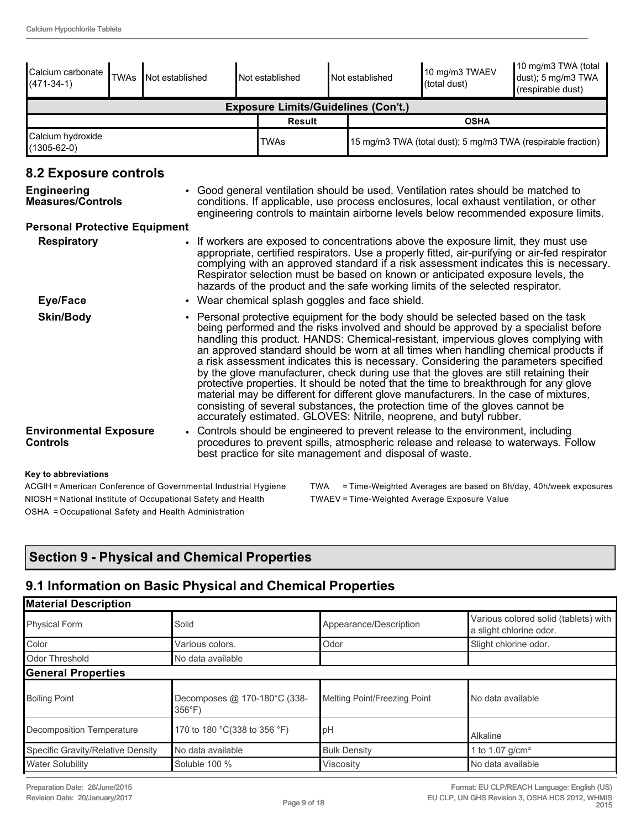| Calcium carbonate<br>$(471-34-1)$                            | <b>TWAs</b>                                                                                                                                                                                                                                                                                                                                                                                                                                                                                                                                                                                                                                                                                                                                                                                                                                                                     | Not established                  |                                                                                                                                                                                                                                  | Not established |  | Not established                                                                                                       | 10 mg/m3 TWAEV<br>(total dust)                                                  | 10 mg/m3 TWA (total<br>dust); 5 mg/m3 TWA<br>(respirable dust)                                                                                                                |
|--------------------------------------------------------------|---------------------------------------------------------------------------------------------------------------------------------------------------------------------------------------------------------------------------------------------------------------------------------------------------------------------------------------------------------------------------------------------------------------------------------------------------------------------------------------------------------------------------------------------------------------------------------------------------------------------------------------------------------------------------------------------------------------------------------------------------------------------------------------------------------------------------------------------------------------------------------|----------------------------------|----------------------------------------------------------------------------------------------------------------------------------------------------------------------------------------------------------------------------------|-----------------|--|-----------------------------------------------------------------------------------------------------------------------|---------------------------------------------------------------------------------|-------------------------------------------------------------------------------------------------------------------------------------------------------------------------------|
|                                                              | <b>Exposure Limits/Guidelines (Con't.)</b>                                                                                                                                                                                                                                                                                                                                                                                                                                                                                                                                                                                                                                                                                                                                                                                                                                      |                                  |                                                                                                                                                                                                                                  |                 |  |                                                                                                                       |                                                                                 |                                                                                                                                                                               |
|                                                              |                                                                                                                                                                                                                                                                                                                                                                                                                                                                                                                                                                                                                                                                                                                                                                                                                                                                                 |                                  |                                                                                                                                                                                                                                  | <b>Result</b>   |  |                                                                                                                       | <b>OSHA</b>                                                                     |                                                                                                                                                                               |
| Calcium hydroxide<br>$(1305 - 62 - 0)$                       |                                                                                                                                                                                                                                                                                                                                                                                                                                                                                                                                                                                                                                                                                                                                                                                                                                                                                 |                                  |                                                                                                                                                                                                                                  | <b>TWAs</b>     |  |                                                                                                                       |                                                                                 | 15 mg/m3 TWA (total dust); 5 mg/m3 TWA (respirable fraction)                                                                                                                  |
| 8.2 Exposure controls                                        |                                                                                                                                                                                                                                                                                                                                                                                                                                                                                                                                                                                                                                                                                                                                                                                                                                                                                 |                                  |                                                                                                                                                                                                                                  |                 |  |                                                                                                                       |                                                                                 |                                                                                                                                                                               |
| <b>Engineering</b><br>Measures/Controls                      |                                                                                                                                                                                                                                                                                                                                                                                                                                                                                                                                                                                                                                                                                                                                                                                                                                                                                 |                                  |                                                                                                                                                                                                                                  |                 |  |                                                                                                                       | Good general ventilation should be used. Ventilation rates should be matched to | conditions. If applicable, use process enclosures, local exhaust ventilation, or other<br>engineering controls to maintain airborne levels below recommended exposure limits. |
| <b>Personal Protective Equipment</b>                         |                                                                                                                                                                                                                                                                                                                                                                                                                                                                                                                                                                                                                                                                                                                                                                                                                                                                                 |                                  |                                                                                                                                                                                                                                  |                 |  |                                                                                                                       |                                                                                 |                                                                                                                                                                               |
|                                                              | <b>Respiratory</b><br>If workers are exposed to concentrations above the exposure limit, they must use<br>appropriate, certified respirators. Use a properly fitted, air-purifying or air-fed respirator<br>complying with an approved standard if a risk assessment indicates this is necessary.<br>Respirator selection must be based on known or anticipated exposure levels, the<br>hazards of the product and the safe working limits of the selected respirator.                                                                                                                                                                                                                                                                                                                                                                                                          |                                  |                                                                                                                                                                                                                                  |                 |  |                                                                                                                       |                                                                                 |                                                                                                                                                                               |
| <b>Eye/Face</b>                                              |                                                                                                                                                                                                                                                                                                                                                                                                                                                                                                                                                                                                                                                                                                                                                                                                                                                                                 |                                  |                                                                                                                                                                                                                                  |                 |  | • Wear chemical splash goggles and face shield.                                                                       |                                                                                 |                                                                                                                                                                               |
| <b>Skin/Body</b>                                             | • Personal protective equipment for the body should be selected based on the task<br>being performed and the risks involved and should be approved by a specialist before<br>handling this product. HANDS: Chemical-resistant, impervious gloves complying with<br>an approved standard should be worn at all times when handling chemical products if<br>a risk assessment indicates this is necessary. Considering the parameters specified<br>by the glove manufacturer, check during use that the gloves are still retaining their<br>protective properties. It should be noted that the time to breakthrough for any glove<br>material may be different for different glove manufacturers. In the case of mixtures,<br>consisting of several substances, the protection time of the gloves cannot be<br>accurately estimated. GLOVES: Nitrile, neoprene, and butyl rubber. |                                  |                                                                                                                                                                                                                                  |                 |  |                                                                                                                       |                                                                                 |                                                                                                                                                                               |
| <b>Environmental Exposure</b><br><b>Controls</b>             |                                                                                                                                                                                                                                                                                                                                                                                                                                                                                                                                                                                                                                                                                                                                                                                                                                                                                 |                                  | Controls should be engineered to prevent release to the environment, including<br>procedures to prevent spills, atmospheric release and release to waterways. Follow<br>best practice for site management and disposal of waste. |                 |  |                                                                                                                       |                                                                                 |                                                                                                                                                                               |
| Key to abbreviations<br>$A COIII - A$ as $A = O$ and $A = O$ |                                                                                                                                                                                                                                                                                                                                                                                                                                                                                                                                                                                                                                                                                                                                                                                                                                                                                 | بمستمر واللمامة وباستمرار الملاء |                                                                                                                                                                                                                                  |                 |  | $T: \mathbb{R}^n \times \mathbb{R}^n \times \mathbb{R}^n \times \mathbb{R}^n \times \mathbb{R}^n \times \mathbb{R}^n$ |                                                                                 |                                                                                                                                                                               |

NIOSH = National Institute of Occupational Safety and Health TWAEV = Time-Weighted Average Exposure Value OSHA = Occupational Safety and Health Administration

ACGIH = American Conference of Governmental Industrial Hygiene TWA = Time-Weighted Averages are based on 8h/day, 40h/week exposures

### **Section 9 - Physical and Chemical Properties**

### **9.1 Information on Basic Physical and Chemical Properties**

| Solid                                          | Appearance/Description       | Various colored solid (tablets) with<br>a slight chlorine odor. |
|------------------------------------------------|------------------------------|-----------------------------------------------------------------|
| Various colors.                                | Odor                         | Slight chlorine odor.                                           |
| No data available                              |                              |                                                                 |
|                                                |                              |                                                                 |
| Decomposes @ 170-180°C (338-<br>$356^{\circ}F$ | Melting Point/Freezing Point | No data available                                               |
| 170 to 180 °C(338 to 356 °F)                   | pH                           | Alkaline                                                        |
| No data available                              | <b>Bulk Density</b>          | I to 1.07 g/cm <sup>3</sup>                                     |
| Soluble 100 %                                  | Viscosity                    | No data available                                               |
|                                                |                              |                                                                 |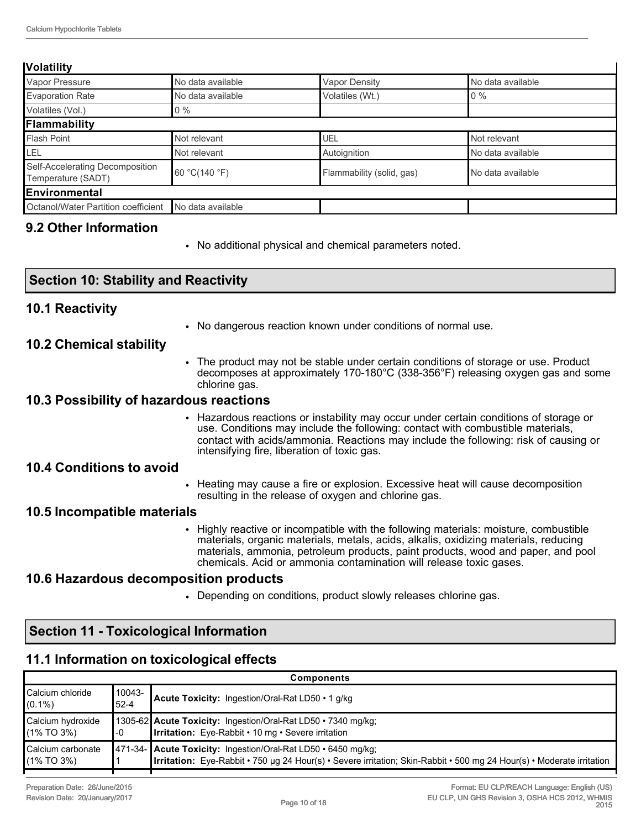#### **Volatility**

| Vapor Pressure                                        | No data available | <b>Vapor Density</b>      | No data available |
|-------------------------------------------------------|-------------------|---------------------------|-------------------|
| Evaporation Rate                                      | No data available | Volatiles (Wt.)           | $0\%$             |
| Volatiles (Vol.)                                      | $0\%$             |                           |                   |
| Flammability                                          |                   |                           |                   |
| Flash Point                                           | Not relevant      | UEL                       | Not relevant      |
| <b>LEL</b>                                            | Not relevant      | Autoignition              | No data available |
| Self-Accelerating Decomposition<br>Temperature (SADT) | 60 °C(140 °F)     | Flammability (solid, gas) | No data available |
| Environmental                                         |                   |                           |                   |
| Octanol/Water Partition coefficient                   | No data available |                           |                   |
|                                                       |                   |                           |                   |

#### **9.2 Other Information**

**10.2 Chemical stability**

**10.4 Conditions to avoid**

**10.5 Incompatible materials**

**10.1 Reactivity**

**Section 10: Stability and Reactivity**

**10.3 Possibility of hazardous reactions**

**10.6 Hazardous decomposition products**

**Section 11 - Toxicological Information**

chlorine gas.

• No additional physical and chemical parameters noted.

intensifying fire, liberation of toxic gas.

resulting in the release of oxygen and chlorine gas.

• No dangerous reaction known under conditions of normal use.

• The product may not be stable under certain conditions of storage or use. Product decomposes at approximately 170-180°C (338-356°F) releasing oxygen gas and some

• Hazardous reactions or instability may occur under certain conditions of storage or use. Conditions may include the following: contact with combustible materials, contact with acids/ammonia. Reactions may include the following: risk of causing or

• Heating may cause a fire or explosion. Excessive heat will cause decomposition

• Highly reactive or incompatible with the following materials: moisture, combustible materials, organic materials, metals, acids, alkalis, oxidizing materials, reducing materials, ammonia, petroleum products, paint products, wood and paper, and pool

chemicals. Acid or ammonia contamination will release toxic gases.

• Depending on conditions, product slowly releases chlorine gas.

| 11.1 Information on toxicological effects |                    |                                                                                                                                                                                        |  |  |  |  |  |
|-------------------------------------------|--------------------|----------------------------------------------------------------------------------------------------------------------------------------------------------------------------------------|--|--|--|--|--|
|                                           | <b>Components</b>  |                                                                                                                                                                                        |  |  |  |  |  |
| <b>Calcium chloride</b><br>$(0.1\%)$      | 10043-<br>$52 - 4$ | Acute Toxicity: Ingestion/Oral-Rat LD50 • 1 g/kg                                                                                                                                       |  |  |  |  |  |
| Calcium hydroxide<br>$(1\%$ TO 3%)        | -0                 | 1305-62 Acute Toxicity: Ingestion/Oral-Rat LD50 • 7340 mg/kg;<br><b>Irritation:</b> Eye-Rabbit • 10 mg • Severe irritation                                                             |  |  |  |  |  |
| Calcium carbonate<br>$(1\%$ TO 3%)        |                    | 471-34- Acute Toxicity: Ingestion/Oral-Rat LD50 · 6450 mg/kg;<br>Irritation: Eye-Rabbit • 750 µg 24 Hour(s) • Severe irritation; Skin-Rabbit • 500 mg 24 Hour(s) • Moderate irritation |  |  |  |  |  |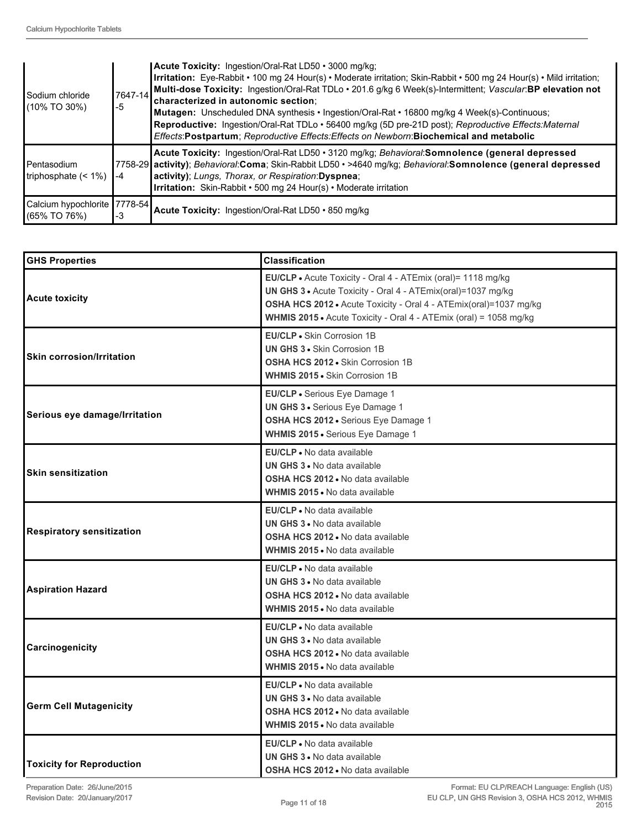| l Sodium chloride<br>1/10% TO 30%)                | 7647-14<br>$-5$ | Acute Toxicity: Ingestion/Oral-Rat LD50 • 3000 mg/kg;<br>Irritation: Eye-Rabbit • 100 mg 24 Hour(s) • Moderate irritation; Skin-Rabbit • 500 mg 24 Hour(s) • Mild irritation;<br>Multi-dose Toxicity: Ingestion/Oral-Rat TDLo · 201.6 g/kg 6 Week(s)-Intermittent; Vascular:BP elevation not<br>characterized in autonomic section:<br>Mutagen: Unscheduled DNA synthesis • Ingestion/Oral-Rat • 16800 mg/kg 4 Week(s)-Continuous;<br>Reproductive: Ingestion/Oral-Rat TDLo · 56400 mg/kg (5D pre-21D post); Reproductive Effects: Maternal<br>Effects: Postpartum; Reproductive Effects: Effects on Newborn: Biochemical and metabolic |
|---------------------------------------------------|-----------------|-----------------------------------------------------------------------------------------------------------------------------------------------------------------------------------------------------------------------------------------------------------------------------------------------------------------------------------------------------------------------------------------------------------------------------------------------------------------------------------------------------------------------------------------------------------------------------------------------------------------------------------------|
| l Pentasodium<br>Itriphosphate $($ < 1% $)$       | $-4$            | Acute Toxicity: Ingestion/Oral-Rat LD50 • 3120 mg/kg; Behavioral:Somnolence (general depressed<br>7758-29 activity); Behavioral:Coma; Skin-Rabbit LD50 • >4640 mg/kg; Behavioral:Somnolence (general depressed<br>activity); Lungs, Thorax, or Respiration: Dyspnea;<br><b>Irritation:</b> Skin-Rabbit • 500 mg 24 Hour(s) • Moderate irritation                                                                                                                                                                                                                                                                                        |
| Calcium hypochlorite   7778-54  <br>I(65% TO 76%) | -3              | Acute Toxicity: Ingestion/Oral-Rat LD50 · 850 mg/kg                                                                                                                                                                                                                                                                                                                                                                                                                                                                                                                                                                                     |

| <b>GHS Properties</b>            | <b>Classification</b>                                                                                                                                                                                                                                                  |
|----------------------------------|------------------------------------------------------------------------------------------------------------------------------------------------------------------------------------------------------------------------------------------------------------------------|
| <b>Acute toxicity</b>            | EU/CLP . Acute Toxicity - Oral 4 - ATEmix (oral)= 1118 mg/kg<br>UN GHS 3 . Acute Toxicity - Oral 4 - ATEmix(oral)=1037 mg/kg<br>OSHA HCS 2012 · Acute Toxicity - Oral 4 - ATEmix(oral)=1037 mg/kg<br>WHMIS 2015 • Acute Toxicity - Oral 4 - ATEmix (oral) = 1058 mg/kg |
| <b>Skin corrosion/Irritation</b> | EU/CLP • Skin Corrosion 1B<br><b>UN GHS 3 · Skin Corrosion 1B</b><br>OSHA HCS 2012 . Skin Corrosion 1B<br><b>WHMIS 2015 · Skin Corrosion 1B</b>                                                                                                                        |
| Serious eye damage/Irritation    | EU/CLP · Serious Eye Damage 1<br>UN GHS 3 · Serious Eye Damage 1<br>OSHA HCS 2012 · Serious Eye Damage 1<br>WHMIS 2015 . Serious Eye Damage 1                                                                                                                          |
| <b>Skin sensitization</b>        | EU/CLP . No data available<br><b>UN GHS 3 .</b> No data available<br>OSHA HCS 2012 . No data available<br>WHMIS 2015 • No data available                                                                                                                               |
| <b>Respiratory sensitization</b> | <b>EU/CLP</b> • No data available<br><b>UN GHS 3 • No data available</b><br>OSHA HCS 2012 . No data available<br><b>WHMIS 2015 .</b> No data available                                                                                                                 |
| <b>Aspiration Hazard</b>         | <b>EU/CLP</b> • No data available<br><b>UN GHS 3 • No data available</b><br><b>OSHA HCS 2012 • No data available</b><br>WHMIS 2015 • No data available                                                                                                                 |
| Carcinogenicity                  | EU/CLP . No data available<br><b>UN GHS 3 .</b> No data available<br><b>OSHA HCS 2012 .</b> No data available<br><b>WHMIS 2015 • No data available</b>                                                                                                                 |
| <b>Germ Cell Mutagenicity</b>    | <b>EU/CLP</b> • No data available<br><b>UN GHS 3 • No data available</b><br><b>OSHA HCS 2012 • No data available</b><br>WHMIS 2015 • No data available                                                                                                                 |
| <b>Toxicity for Reproduction</b> | <b>EU/CLP</b> • No data available<br>UN GHS 3 . No data available<br>OSHA HCS 2012 . No data available                                                                                                                                                                 |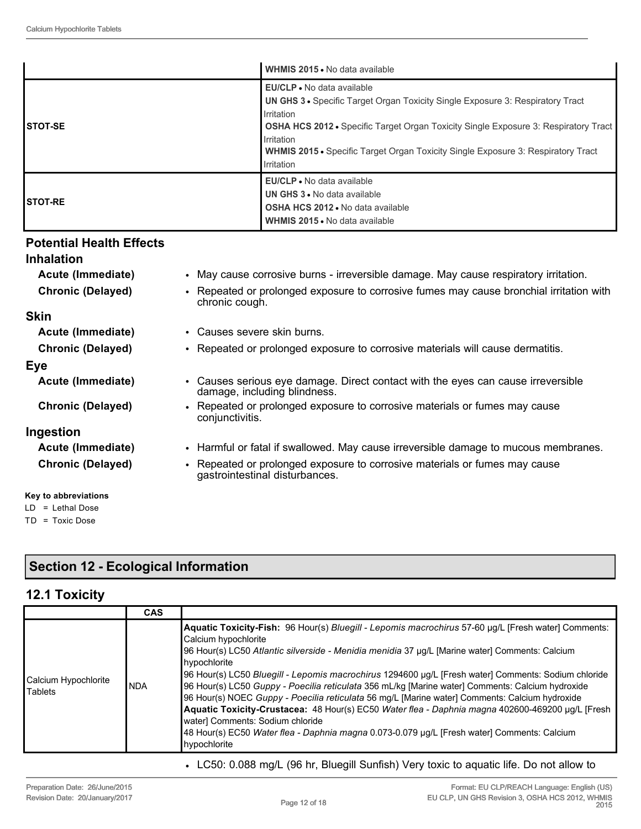|                 | WHMIS 2015 . No data available                                                                                                                                                                                                                                                                                                                                 |
|-----------------|----------------------------------------------------------------------------------------------------------------------------------------------------------------------------------------------------------------------------------------------------------------------------------------------------------------------------------------------------------------|
| ISTOT-SE        | EU/CLP • No data available<br><b>UN GHS 3 •</b> Specific Target Organ Toxicity Single Exposure 3: Respiratory Tract<br><b>I</b> rritation<br><b>OSHA HCS 2012 •</b> Specific Target Organ Toxicity Single Exposure 3: Respiratory Tract<br>Irritation<br><b>WHMIS 2015 •</b> Specific Target Organ Toxicity Single Exposure 3: Respiratory Tract<br>Irritation |
| <b>ISTOT-RE</b> | EU/CLP • No data available<br>UN GHS 3 . No data available<br><b>OSHA HCS 2012 .</b> No data available<br>WHMIS 2015 • No data available                                                                                                                                                                                                                       |

#### **Potential Health Effects**

#### **Inhalation**

**Skin**

**Eye**

- **Acute (Immediate)** May cause corrosive burns irreversible damage. May cause respiratory irritation. **Chronic (Delayed)** • Repeated or prolonged exposure to corrosive fumes may cause bronchial irritation with chronic cough. **Acute (Immediate)** • Causes severe skin burns. **Chronic (Delayed)** • Repeated or prolonged exposure to corrosive materials will cause dermatitis.
- **Acute (Immediate)** Causes serious eye damage. Direct contact with the eyes can cause irreversible damage, including blindness.
- **Chronic (Delayed)** Repeated or prolonged exposure to corrosive materials or fumes may cause conjunctivitis.

#### **Ingestion**

- **Acute (Immediate)** Harmful or fatal if swallowed. May cause irreversible damage to mucous membranes.
- **Chronic (Delayed)** Repeated or prolonged exposure to corrosive materials or fumes may cause gastrointestinal disturbances.

### **Key to abbreviations**

LD = Lethal Dose TD = Toxic Dose

### **Section 12 - Ecological Information**

#### **12.1 Toxicity**

|                                        | <b>CAS</b> |                                                                                                                                                                                                                                                                                                                                                                                                                                                                                                                                                                                                                                                                                                                                                                                                                   |
|----------------------------------------|------------|-------------------------------------------------------------------------------------------------------------------------------------------------------------------------------------------------------------------------------------------------------------------------------------------------------------------------------------------------------------------------------------------------------------------------------------------------------------------------------------------------------------------------------------------------------------------------------------------------------------------------------------------------------------------------------------------------------------------------------------------------------------------------------------------------------------------|
| Calcium Hypochlorite<br><b>Tablets</b> | <b>NDA</b> | Aquatic Toxicity-Fish: 96 Hour(s) Bluegill - Lepomis macrochirus 57-60 µg/L [Fresh water] Comments:<br>Calcium hypochlorite<br>96 Hour(s) LC50 Atlantic silverside - Menidia menidia 37 µg/L [Marine water] Comments: Calcium<br>hypochlorite<br>96 Hour(s) LC50 Bluegill - Lepomis macrochirus 1294600 µg/L [Fresh water] Comments: Sodium chloride<br>96 Hour(s) LC50 Guppy - Poecilia reticulata 356 mL/kg [Marine water] Comments: Calcium hydroxide<br>96 Hour(s) NOEC Guppy - Poecilia reticulata 56 mg/L [Marine water] Comments: Calcium hydroxide<br>Aquatic Toxicity-Crustacea: 48 Hour(s) EC50 Water flea - Daphnia magna 402600-469200 µg/L [Fresh<br>water] Comments: Sodium chloride<br>48 Hour(s) EC50 Water flea - Daphnia magna 0.073-0.079 µg/L [Fresh water] Comments: Calcium<br>hypochlorite |

• LC50: 0.088 mg/L (96 hr, Bluegill Sunfish) Very toxic to aquatic life. Do not allow to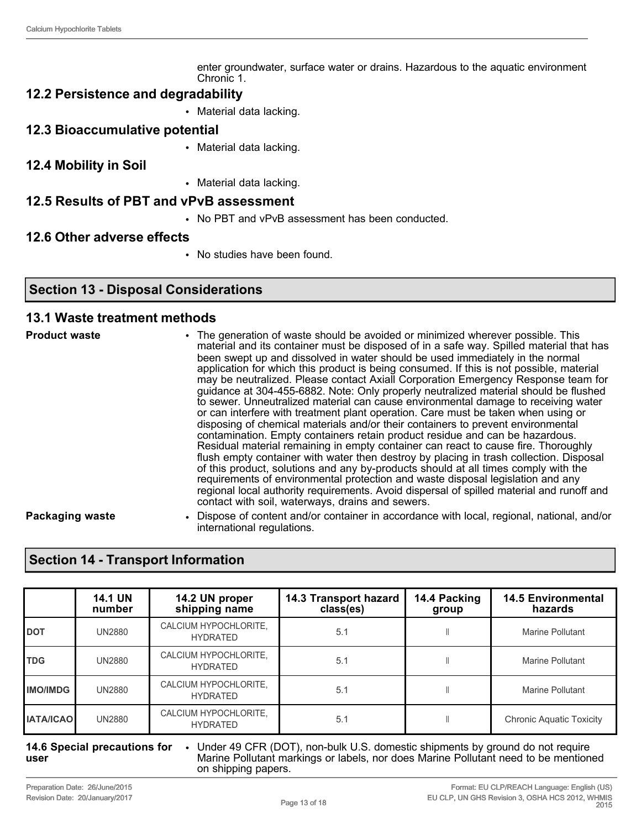enter groundwater, surface water or drains. Hazardous to the aquatic environment Chronic 1.

#### **12.2 Persistence and degradability**

- Material data lacking.
- **12.3 Bioaccumulative potential**
	- Material data lacking.
- **12.4 Mobility in Soil**
- Material data lacking.

#### **12.5 Results of PBT and vPvB assessment**

• No PBT and vPvB assessment has been conducted.

#### **12.6 Other adverse effects**

• No studies have been found.

#### **Section 13 - Disposal Considerations**

#### **13.1 Waste treatment methods**

**Product waste** • The generation of waste should be avoided or minimized wherever possible. This material and its container must be disposed of in a safe way. Spilled material that has been swept up and dissolved in water should be used immediately in the normal application for which this product is being consumed. If this is not possible, material may be neutralized. Please contact Axiall Corporation Emergency Response team for guidance at 304-455-6882. Note: Only properly neutralized material should be flushed to sewer. Unneutralized material can cause environmental damage to receiving water or can interfere with treatment plant operation. Care must be taken when using or disposing of chemical materials and/or their containers to prevent environmental contamination. Empty containers retain product residue and can be hazardous. Residual material remaining in empty container can react to cause fire. Thoroughly flush empty container with water then destroy by placing in trash collection. Disposal of this product, solutions and any by-products should at all times comply with the requirements of environmental protection and waste disposal legislation and any regional local authority requirements. Avoid dispersal of spilled material and runoff and contact with soil, waterways, drains and sewers.

**Packaging waste** • Dispose of content and/or container in accordance with local, regional, national, and/or international regulations.

#### **Section 14 - Transport Information**

|                  | <b>14.1 UN</b><br>number | 14.2 UN proper<br>shipping name          | 14.3 Transport hazard<br>class(es) | 14.4 Packing<br>group | <b>14.5 Environmental</b><br>hazards |
|------------------|--------------------------|------------------------------------------|------------------------------------|-----------------------|--------------------------------------|
| <b>DOT</b>       | <b>UN2880</b>            | CALCIUM HYPOCHLORITE,<br><b>HYDRATED</b> | 5.1                                |                       | Marine Pollutant                     |
| <b>TDG</b>       | <b>UN2880</b>            | CALCIUM HYPOCHLORITE,<br><b>HYDRATED</b> | 5.1                                |                       | Marine Pollutant                     |
| <b>IMO/IMDG</b>  | <b>UN2880</b>            | CALCIUM HYPOCHLORITE,<br><b>HYDRATED</b> | 5.1                                |                       | Marine Pollutant                     |
| <b>IATA/ICAO</b> | <b>UN2880</b>            | CALCIUM HYPOCHLORITE,<br><b>HYDRATED</b> | 5.1                                |                       | <b>Chronic Aquatic Toxicity</b>      |

#### **14.6 Special precautions for user** • Under 49 CFR (DOT), non-bulk U.S. domestic shipments by ground do not require Marine Pollutant markings or labels, nor does Marine Pollutant need to be mentioned on shipping papers.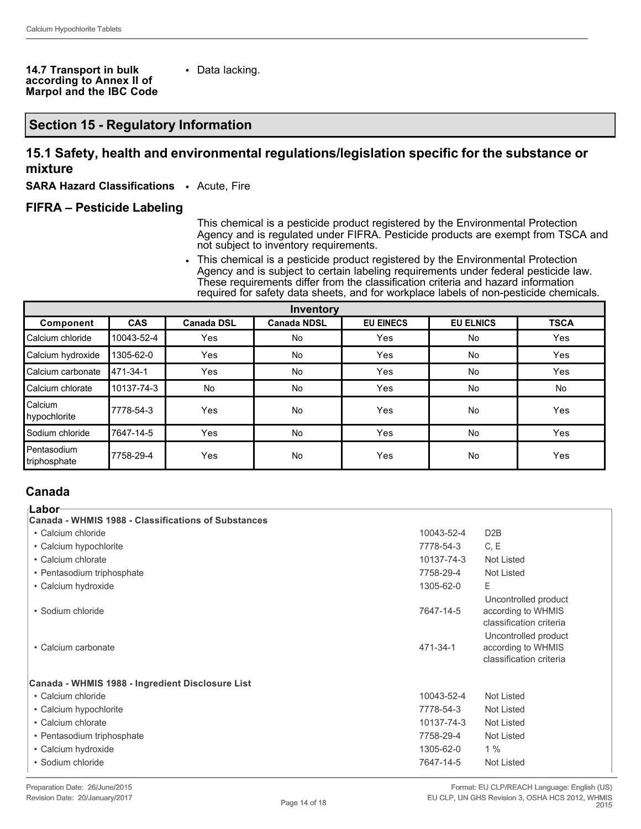#### **14.7 Transport in bulk according to Annex II of Marpol and the IBC Code**

• Data lacking.

#### **Section 15 - Regulatory Information**

#### **15.1 Safety, health and environmental regulations/legislation specific for the substance or mixture**

**SARA Hazard Classifications** • Acute, Fire

#### **FIFRA – Pesticide Labeling**

This chemical is a pesticide product registered by the Environmental Protection Agency and is regulated under FIFRA. Pesticide products are exempt from TSCA and not subject to inventory requirements.

• This chemical is a pesticide product registered by the Environmental Protection Agency and is subject to certain labeling requirements under federal pesticide law. These requirements differ from the classification criteria and hazard information required for safety data sheets, and for workplace labels of non-pesticide chemicals.

| Inventory                     |            |                   |                    |                  |                  |             |
|-------------------------------|------------|-------------------|--------------------|------------------|------------------|-------------|
| Component                     | <b>CAS</b> | <b>Canada DSL</b> | <b>Canada NDSL</b> | <b>EU EINECS</b> | <b>EU ELNICS</b> | <b>TSCA</b> |
| Calcium chloride              | 10043-52-4 | Yes               | No                 | Yes              | No               | Yes         |
| Calcium hydroxide             | 1305-62-0  | <b>Yes</b>        | No                 | Yes              | <b>No</b>        | Yes         |
| Calcium carbonate             | 471-34-1   | Yes               | No                 | Yes              | No               | Yes         |
| Calcium chlorate              | 10137-74-3 | No                | No                 | Yes              | <b>No</b>        | No          |
| Calcium<br>hypochlorite       | 7778-54-3  | Yes               | No                 | Yes              | No               | Yes         |
| l Sodium chloride             | 7647-14-5  | Yes               | No                 | Yes              | No               | Yes         |
| l Pentasodium<br>triphosphate | 7758-29-4  | Yes               | No                 | Yes              | No               | Yes         |

#### **Canada**

| ⊦Labor                                              |            |                                                                       |  |  |
|-----------------------------------------------------|------------|-----------------------------------------------------------------------|--|--|
| Canada - WHMIS 1988 - Classifications of Substances |            |                                                                       |  |  |
| • Calcium chloride                                  | 10043-52-4 | D <sub>2</sub> B                                                      |  |  |
| • Calcium hypochlorite                              | 7778-54-3  | C, E                                                                  |  |  |
| • Calcium chlorate                                  | 10137-74-3 | Not Listed                                                            |  |  |
| • Pentasodium triphosphate                          | 7758-29-4  | Not Listed                                                            |  |  |
| • Calcium hydroxide                                 | 1305-62-0  | E.                                                                    |  |  |
| • Sodium chloride                                   | 7647-14-5  | Uncontrolled product<br>according to WHMIS<br>classification criteria |  |  |
| • Calcium carbonate                                 | 471-34-1   | Uncontrolled product<br>according to WHMIS<br>classification criteria |  |  |
| Canada - WHMIS 1988 - Ingredient Disclosure List    |            |                                                                       |  |  |
| • Calcium chloride                                  | 10043-52-4 | Not Listed                                                            |  |  |
| • Calcium hypochlorite                              | 7778-54-3  | Not Listed                                                            |  |  |
| • Calcium chlorate                                  | 10137-74-3 | Not Listed                                                            |  |  |
| • Pentasodium triphosphate                          | 7758-29-4  | Not Listed                                                            |  |  |
| • Calcium hydroxide                                 | 1305-62-0  | 1%                                                                    |  |  |
| • Sodium chloride                                   | 7647-14-5  | Not Listed                                                            |  |  |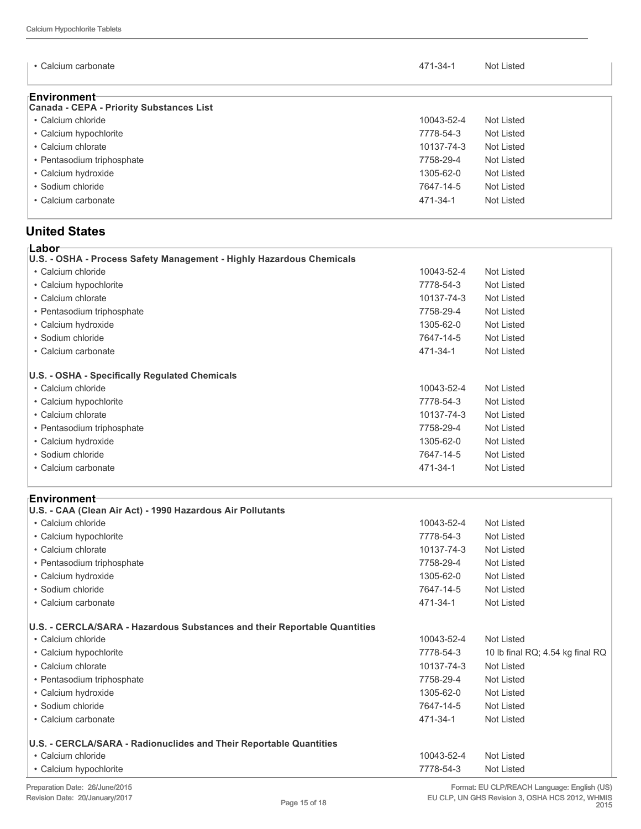| • Calcium carbonate                                             | 471-34-1   | Not Listed |
|-----------------------------------------------------------------|------------|------------|
| ⊧Environment<br><b>Canada - CEPA - Priority Substances List</b> |            |            |
| • Calcium chloride                                              | 10043-52-4 | Not Listed |
| • Calcium hypochlorite                                          | 7778-54-3  | Not Listed |
| • Calcium chlorate                                              | 10137-74-3 | Not Listed |
| • Pentasodium triphosphate                                      | 7758-29-4  | Not Listed |
| • Calcium hydroxide                                             | 1305-62-0  | Not Listed |
| • Sodium chloride                                               | 7647-14-5  | Not Listed |
| • Calcium carbonate                                             | 471-34-1   | Not Listed |

#### **United States**

| ⊧Labor                                                               |            |            |  |  |
|----------------------------------------------------------------------|------------|------------|--|--|
| U.S. - OSHA - Process Safety Management - Highly Hazardous Chemicals |            |            |  |  |
| • Calcium chloride                                                   | 10043-52-4 | Not Listed |  |  |
| • Calcium hypochlorite                                               | 7778-54-3  | Not Listed |  |  |
| • Calcium chlorate                                                   | 10137-74-3 | Not Listed |  |  |
| • Pentasodium triphosphate                                           | 7758-29-4  | Not Listed |  |  |
| • Calcium hydroxide                                                  | 1305-62-0  | Not Listed |  |  |
| • Sodium chloride                                                    | 7647-14-5  | Not Listed |  |  |
| • Calcium carbonate                                                  | 471-34-1   | Not Listed |  |  |
|                                                                      |            |            |  |  |
| U.S. - OSHA - Specifically Regulated Chemicals                       |            |            |  |  |
| • Calcium chloride                                                   | 10043-52-4 | Not Listed |  |  |
| • Calcium hypochlorite                                               | 7778-54-3  | Not Listed |  |  |
| • Calcium chlorate                                                   | 10137-74-3 | Not Listed |  |  |
| • Pentasodium triphosphate                                           | 7758-29-4  | Not Listed |  |  |
| • Calcium hydroxide                                                  | 1305-62-0  | Not Listed |  |  |
| • Sodium chloride                                                    | 7647-14-5  | Not Listed |  |  |
| • Calcium carbonate                                                  | 471-34-1   | Not Listed |  |  |
|                                                                      |            |            |  |  |

| <b>Environment</b> ⊤<br>U.S. - CAA (Clean Air Act) - 1990 Hazardous Air Pollutants |            |                                  |
|------------------------------------------------------------------------------------|------------|----------------------------------|
| • Calcium chloride                                                                 | 10043-52-4 | Not Listed                       |
| • Calcium hypochlorite                                                             | 7778-54-3  | Not Listed                       |
| • Calcium chlorate                                                                 | 10137-74-3 | Not Listed                       |
| • Pentasodium triphosphate                                                         | 7758-29-4  | Not Listed                       |
|                                                                                    |            |                                  |
| • Calcium hydroxide                                                                | 1305-62-0  | Not Listed                       |
| • Sodium chloride                                                                  | 7647-14-5  | Not Listed                       |
| • Calcium carbonate                                                                | 471-34-1   | Not Listed                       |
|                                                                                    |            |                                  |
| U.S. - CERCLA/SARA - Hazardous Substances and their Reportable Quantities          |            |                                  |
| • Calcium chloride                                                                 | 10043-52-4 | <b>Not Listed</b>                |
| • Calcium hypochlorite                                                             | 7778-54-3  | 10 lb final RQ; 4.54 kg final RQ |
| • Calcium chlorate                                                                 | 10137-74-3 | Not Listed                       |
| • Pentasodium triphosphate                                                         | 7758-29-4  | Not Listed                       |
| • Calcium hydroxide                                                                | 1305-62-0  | Not Listed                       |
| • Sodium chloride                                                                  | 7647-14-5  | Not Listed                       |
| • Calcium carbonate                                                                | 471-34-1   | Not Listed                       |
|                                                                                    |            |                                  |
| U.S. - CERCLA/SARA - Radionuclides and Their Reportable Quantities                 |            |                                  |
| • Calcium chloride                                                                 | 10043-52-4 | Not Listed                       |
| • Calcium hypochlorite                                                             | 7778-54-3  | Not Listed                       |
|                                                                                    |            |                                  |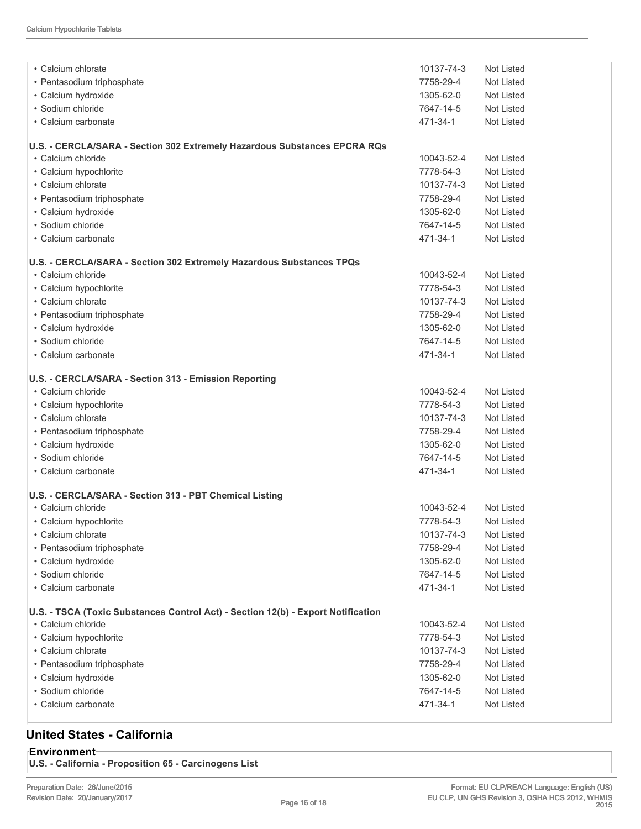| • Calcium chlorate                                                                              | 10137-74-3 | Not Listed        |
|-------------------------------------------------------------------------------------------------|------------|-------------------|
| • Pentasodium triphosphate                                                                      | 7758-29-4  | Not Listed        |
| • Calcium hydroxide                                                                             | 1305-62-0  | <b>Not Listed</b> |
| • Sodium chloride                                                                               | 7647-14-5  | Not Listed        |
| • Calcium carbonate                                                                             | 471-34-1   | <b>Not Listed</b> |
|                                                                                                 |            |                   |
| U.S. - CERCLA/SARA - Section 302 Extremely Hazardous Substances EPCRA RQs<br>• Calcium chloride | 10043-52-4 | Not Listed        |
| • Calcium hypochlorite                                                                          | 7778-54-3  | <b>Not Listed</b> |
| • Calcium chlorate                                                                              | 10137-74-3 | Not Listed        |
| · Pentasodium triphosphate                                                                      | 7758-29-4  | Not Listed        |
|                                                                                                 | 1305-62-0  | Not Listed        |
| • Calcium hydroxide<br>• Sodium chloride                                                        |            |                   |
|                                                                                                 | 7647-14-5  | Not Listed        |
| • Calcium carbonate                                                                             | 471-34-1   | Not Listed        |
| U.S. - CERCLA/SARA - Section 302 Extremely Hazardous Substances TPQs                            |            |                   |
| • Calcium chloride                                                                              | 10043-52-4 | Not Listed        |
| • Calcium hypochlorite                                                                          | 7778-54-3  | Not Listed        |
| • Calcium chlorate                                                                              | 10137-74-3 | Not Listed        |
| • Pentasodium triphosphate                                                                      | 7758-29-4  | Not Listed        |
| • Calcium hydroxide                                                                             | 1305-62-0  | <b>Not Listed</b> |
| · Sodium chloride                                                                               | 7647-14-5  | Not Listed        |
| • Calcium carbonate                                                                             | 471-34-1   | Not Listed        |
| U.S. - CERCLA/SARA - Section 313 - Emission Reporting                                           |            |                   |
| • Calcium chloride                                                                              | 10043-52-4 | <b>Not Listed</b> |
| • Calcium hypochlorite                                                                          | 7778-54-3  | <b>Not Listed</b> |
| • Calcium chlorate                                                                              | 10137-74-3 | Not Listed        |
| • Pentasodium triphosphate                                                                      | 7758-29-4  | Not Listed        |
| • Calcium hydroxide                                                                             | 1305-62-0  | Not Listed        |
| • Sodium chloride                                                                               | 7647-14-5  | <b>Not Listed</b> |
| • Calcium carbonate                                                                             | 471-34-1   | Not Listed        |
|                                                                                                 |            |                   |
| U.S. - CERCLA/SARA - Section 313 - PBT Chemical Listing                                         |            |                   |
| • Calcium chloride                                                                              | 10043-52-4 | Not Listed        |
| • Calcium hypochlorite                                                                          | 7778-54-3  | Not Listed        |
| • Calcium chlorate                                                                              | 10137-74-3 | <b>Not Listed</b> |
| · Pentasodium triphosphate                                                                      | 7758-29-4  | <b>Not Listed</b> |
| • Calcium hydroxide                                                                             | 1305-62-0  | Not Listed        |
| · Sodium chloride                                                                               | 7647-14-5  | Not Listed        |
| • Calcium carbonate                                                                             | 471-34-1   | <b>Not Listed</b> |
| U.S. - TSCA (Toxic Substances Control Act) - Section 12(b) - Export Notification                |            |                   |
| • Calcium chloride                                                                              | 10043-52-4 | Not Listed        |
| • Calcium hypochlorite                                                                          | 7778-54-3  | Not Listed        |
| • Calcium chlorate                                                                              | 10137-74-3 | Not Listed        |
| • Pentasodium triphosphate                                                                      | 7758-29-4  | Not Listed        |
| • Calcium hydroxide                                                                             | 1305-62-0  | Not Listed        |
| · Sodium chloride                                                                               | 7647-14-5  | Not Listed        |
| · Calcium carbonate                                                                             | 471-34-1   | Not Listed        |
|                                                                                                 |            |                   |

### **United States - California**

**Environment U.S. - California - Proposition 65 - Carcinogens List**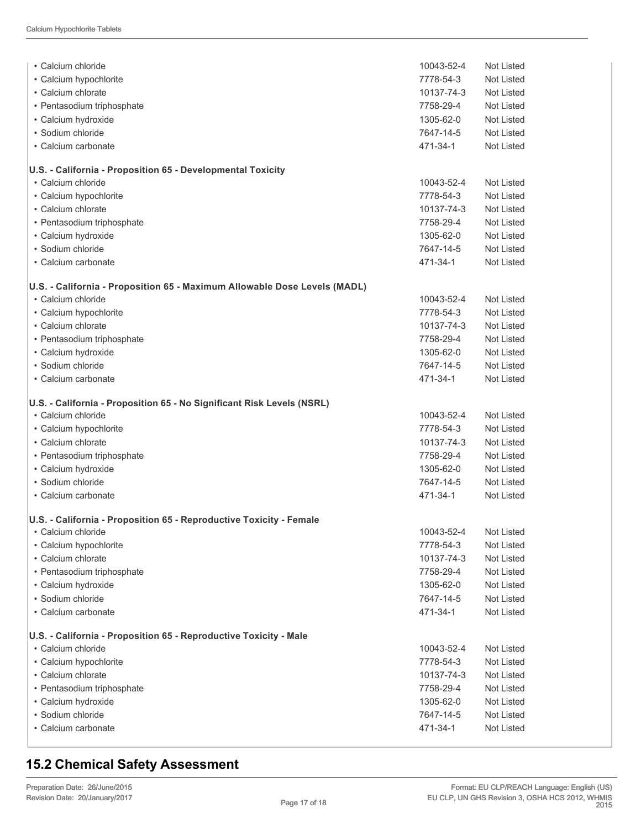| • Calcium chloride                                                        | 10043-52-4 | Not Listed        |
|---------------------------------------------------------------------------|------------|-------------------|
| • Calcium hypochlorite                                                    | 7778-54-3  | Not Listed        |
| • Calcium chlorate                                                        | 10137-74-3 | Not Listed        |
| • Pentasodium triphosphate                                                | 7758-29-4  | Not Listed        |
| • Calcium hydroxide                                                       | 1305-62-0  | Not Listed        |
| • Sodium chloride                                                         | 7647-14-5  | Not Listed        |
| • Calcium carbonate                                                       | 471-34-1   | Not Listed        |
| U.S. - California - Proposition 65 - Developmental Toxicity               |            |                   |
| • Calcium chloride                                                        | 10043-52-4 | Not Listed        |
| • Calcium hypochlorite                                                    | 7778-54-3  | Not Listed        |
| • Calcium chlorate                                                        | 10137-74-3 | Not Listed        |
| · Pentasodium triphosphate                                                | 7758-29-4  | Not Listed        |
| • Calcium hydroxide                                                       | 1305-62-0  | Not Listed        |
| • Sodium chloride                                                         | 7647-14-5  | Not Listed        |
| • Calcium carbonate                                                       | 471-34-1   | Not Listed        |
| U.S. - California - Proposition 65 - Maximum Allowable Dose Levels (MADL) |            |                   |
| • Calcium chloride                                                        | 10043-52-4 | Not Listed        |
| • Calcium hypochlorite                                                    | 7778-54-3  | <b>Not Listed</b> |
| • Calcium chlorate                                                        | 10137-74-3 | Not Listed        |
| • Pentasodium triphosphate                                                | 7758-29-4  | Not Listed        |
| • Calcium hydroxide                                                       | 1305-62-0  | Not Listed        |
| • Sodium chloride                                                         | 7647-14-5  | Not Listed        |
| • Calcium carbonate                                                       | 471-34-1   | Not Listed        |
| U.S. - California - Proposition 65 - No Significant Risk Levels (NSRL)    |            |                   |
| • Calcium chloride                                                        | 10043-52-4 | Not Listed        |
| • Calcium hypochlorite                                                    | 7778-54-3  | Not Listed        |
| • Calcium chlorate                                                        | 10137-74-3 | Not Listed        |
| • Pentasodium triphosphate                                                | 7758-29-4  | Not Listed        |
| • Calcium hydroxide                                                       | 1305-62-0  | Not Listed        |
| · Sodium chloride                                                         | 7647-14-5  | Not Listed        |
| • Calcium carbonate                                                       | 471-34-1   | Not Listed        |
| U.S. - California - Proposition 65 - Reproductive Toxicity - Female       |            |                   |
| • Calcium chloride                                                        | 10043-52-4 | Not Listed        |
| • Calcium hypochlorite                                                    | 7778-54-3  | Not Listed        |
| • Calcium chlorate                                                        | 10137-74-3 | Not Listed        |
| • Pentasodium triphosphate                                                | 7758-29-4  | Not Listed        |
| · Calcium hydroxide                                                       | 1305-62-0  | Not Listed        |
| · Sodium chloride                                                         | 7647-14-5  | Not Listed        |
| • Calcium carbonate                                                       | 471-34-1   | Not Listed        |
| U.S. - California - Proposition 65 - Reproductive Toxicity - Male         |            |                   |
| • Calcium chloride                                                        | 10043-52-4 | Not Listed        |
| • Calcium hypochlorite                                                    | 7778-54-3  | Not Listed        |
| • Calcium chlorate                                                        | 10137-74-3 | Not Listed        |
| · Pentasodium triphosphate                                                | 7758-29-4  | Not Listed        |
| · Calcium hydroxide                                                       | 1305-62-0  | Not Listed        |
| · Sodium chloride                                                         | 7647-14-5  | Not Listed        |
| • Calcium carbonate                                                       | 471-34-1   | Not Listed        |
|                                                                           |            |                   |

### **15.2 Chemical Safety Assessment**